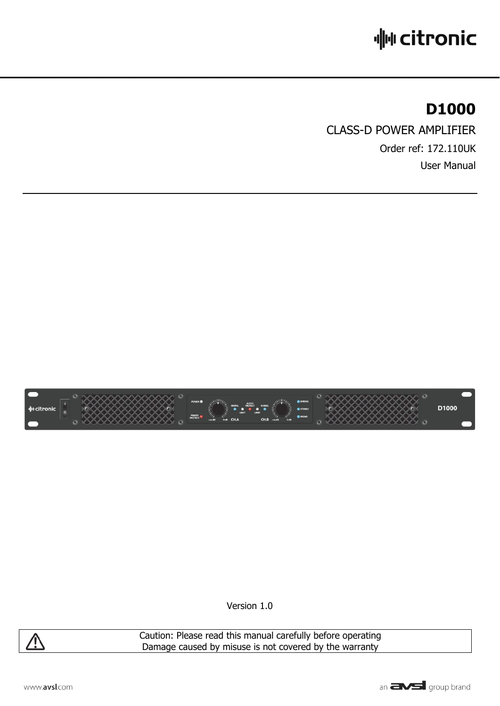# **业 citronic**

## **D1000**

CLASS-D POWER AMPLIFIER Order ref: 172.110UK User Manual



Version 1.0



Caution: Please read this manual carefully before operating Damage caused by misuse is not covered by the warranty

www.avsl.com

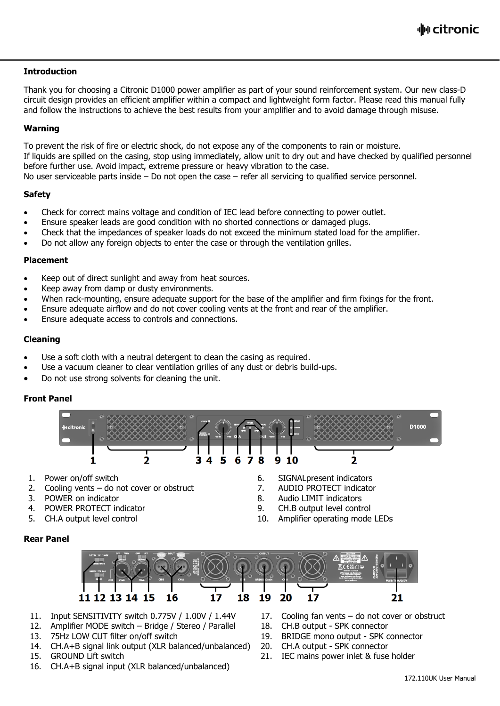#### **Introduction**

Thank you for choosing a Citronic D1000 power amplifier as part of your sound reinforcement system. Our new class-D circuit design provides an efficient amplifier within a compact and lightweight form factor. Please read this manual fully and follow the instructions to achieve the best results from your amplifier and to avoid damage through misuse.

#### **Warning**

To prevent the risk of fire or electric shock, do not expose any of the components to rain or moisture. If liquids are spilled on the casing, stop using immediately, allow unit to dry out and have checked by qualified personnel before further use. Avoid impact, extreme pressure or heavy vibration to the case. No user serviceable parts inside – Do not open the case – refer all servicing to qualified service personnel.

#### **Safety**

- Check for correct mains voltage and condition of IEC lead before connecting to power outlet.
- Ensure speaker leads are good condition with no shorted connections or damaged plugs.
- Check that the impedances of speaker loads do not exceed the minimum stated load for the amplifier.
- Do not allow any foreign objects to enter the case or through the ventilation grilles.

#### **Placement**

- Keep out of direct sunlight and away from heat sources.
- Keep away from damp or dusty environments.
- When rack-mounting, ensure adequate support for the base of the amplifier and firm fixings for the front.
- Ensure adequate airflow and do not cover cooling vents at the front and rear of the amplifier.
- Ensure adequate access to controls and connections.

#### **Cleaning**

- Use a soft cloth with a neutral detergent to clean the casing as required.
- Use a vacuum cleaner to clear ventilation grilles of any dust or debris build-ups.
- Do not use strong solvents for cleaning the unit.

#### **Front Panel**

**Rear Panel**



- 
- 2. Cooling vents do not cover or obstruct 7. AUDIO PROTECT indicator
- 3. POWER on indicator 8. Audio LIMIT indicators
- 4. POWER PROTECT indicator 9. CH.B output level control
- 
- 1. Power on/off switch 6. SIGNALpresent indicators
	-
	-
	-
- 5. CH.A output level control the state of the 10. Amplifier operating mode LEDs

#### 18 19 20 11 12 13 14 15 16 17 17 21

- 11. Input SENSITIVITY switch 0.775V / 1.00V / 1.44V 17. Cooling fan vents do not cover or obstruct
- 12. Amplifier MODE switch Bridge / Stereo / Parallel 18. CH.B output SPK connector
- 13. 75Hz LOW CUT filter on/off switch 19. BRIDGE mono output SPK connector
- 14. CH.A+B signal link output (XLR balanced/unbalanced) 20. CH.A output SPK connector
- 
- 16. CH.A+B signal input (XLR balanced/unbalanced)
- 
- 
- 
- 
- 15. GROUND Lift switch 21. IEC mains power inlet & fuse holder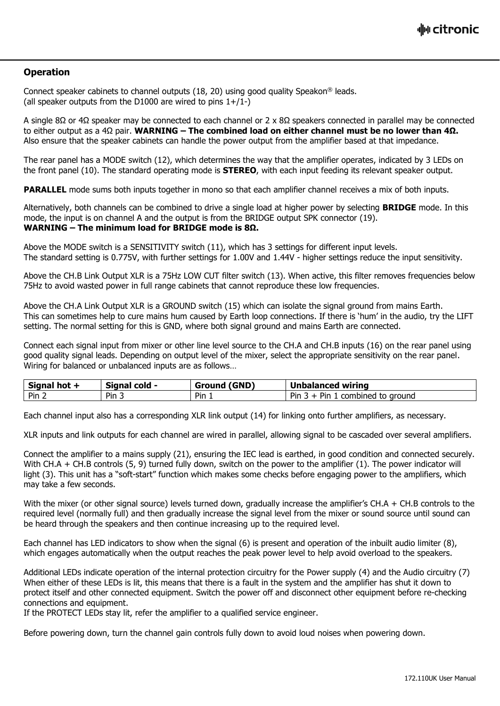#### **Operation**

Connect speaker cabinets to channel outputs  $(18, 20)$  using good quality Speakon<sup>®</sup> leads. (all speaker outputs from the D1000 are wired to pins  $1+/1-$ )

A single 8Ω or 4Ω speaker may be connected to each channel or 2 x 8Ω speakers connected in parallel may be connected to either output as a 4Ω pair. **WARNING – The combined load on either channel must be no lower than 4Ω.** Also ensure that the speaker cabinets can handle the power output from the amplifier based at that impedance.

The rear panel has a MODE switch (12), which determines the way that the amplifier operates, indicated by 3 LEDs on the front panel (10). The standard operating mode is **STEREO**, with each input feeding its relevant speaker output.

**PARALLEL** mode sums both inputs together in mono so that each amplifier channel receives a mix of both inputs.

Alternatively, both channels can be combined to drive a single load at higher power by selecting **BRIDGE** mode. In this mode, the input is on channel A and the output is from the BRIDGE output SPK connector (19). **WARNING – The minimum load for BRIDGE mode is 8Ω.**

Above the MODE switch is a SENSITIVITY switch (11), which has 3 settings for different input levels. The standard setting is 0.775V, with further settings for 1.00V and 1.44V - higher settings reduce the input sensitivity.

Above the CH.B Link Output XLR is a 75Hz LOW CUT filter switch (13). When active, this filter removes frequencies below 75Hz to avoid wasted power in full range cabinets that cannot reproduce these low frequencies.

Above the CH.A Link Output XLR is a GROUND switch (15) which can isolate the signal ground from mains Earth. This can sometimes help to cure mains hum caused by Earth loop connections. If there is 'hum' in the audio, try the LIFT setting. The normal setting for this is GND, where both signal ground and mains Earth are connected.

Connect each signal input from mixer or other line level source to the CH.A and CH.B inputs (16) on the rear panel using good quality signal leads. Depending on output level of the mixer, select the appropriate sensitivity on the rear panel. Wiring for balanced or unbalanced inputs are as follows…

| <b>Signal</b> | <b>Signal</b> | I (GND)       | Unbalanced wiring                   |
|---------------|---------------|---------------|-------------------------------------|
| hot +         | cold -        | Ground        |                                     |
| Pin 2         | Pin 3         | $Pin_{\perp}$ | Pin<br>Pin<br>combined<br>to ground |

Each channel input also has a corresponding XLR link output (14) for linking onto further amplifiers, as necessary.

XLR inputs and link outputs for each channel are wired in parallel, allowing signal to be cascaded over several amplifiers.

Connect the amplifier to a mains supply (21), ensuring the IEC lead is earthed, in good condition and connected securely. With CH.A + CH.B controls (5, 9) turned fully down, switch on the power to the amplifier (1). The power indicator will light (3). This unit has a "soft-start" function which makes some checks before engaging power to the amplifiers, which may take a few seconds.

With the mixer (or other signal source) levels turned down, gradually increase the amplifier's  $CH.A + CH.B$  controls to the required level (normally full) and then gradually increase the signal level from the mixer or sound source until sound can be heard through the speakers and then continue increasing up to the required level.

Each channel has LED indicators to show when the signal (6) is present and operation of the inbuilt audio limiter (8), which engages automatically when the output reaches the peak power level to help avoid overload to the speakers.

Additional LEDs indicate operation of the internal protection circuitry for the Power supply (4) and the Audio circuitry (7) When either of these LEDs is lit, this means that there is a fault in the system and the amplifier has shut it down to protect itself and other connected equipment. Switch the power off and disconnect other equipment before re-checking connections and equipment.

If the PROTECT LEDs stay lit, refer the amplifier to a qualified service engineer.

Before powering down, turn the channel gain controls fully down to avoid loud noises when powering down.